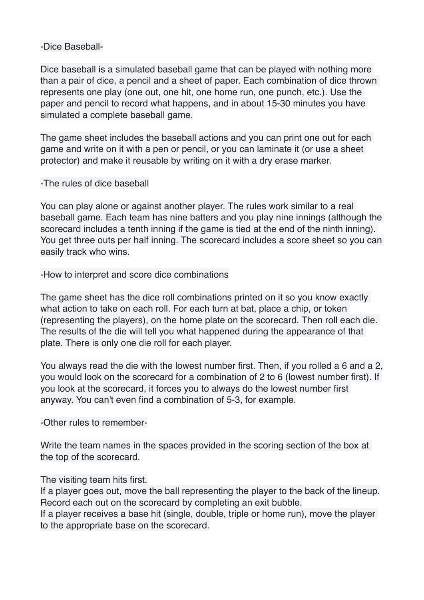## -Dice Baseball-

Dice baseball is a simulated baseball game that can be played with nothing more than a pair of dice, a pencil and a sheet of paper. Each combination of dice thrown represents one play (one out, one hit, one home run, one punch, etc.). Use the paper and pencil to record what happens, and in about 15-30 minutes you have simulated a complete baseball game.

The game sheet includes the baseball actions and you can print one out for each game and write on it with a pen or pencil, or you can laminate it (or use a sheet protector) and make it reusable by writing on it with a dry erase marker.

## -The rules of dice baseball

You can play alone or against another player. The rules work similar to a real baseball game. Each team has nine batters and you play nine innings (although the scorecard includes a tenth inning if the game is tied at the end of the ninth inning). You get three outs per half inning. The scorecard includes a score sheet so you can easily track who wins.

-How to interpret and score dice combinations

The game sheet has the dice roll combinations printed on it so you know exactly what action to take on each roll. For each turn at bat, place a chip, or token (representing the players), on the home plate on the scorecard. Then roll each die. The results of the die will tell you what happened during the appearance of that plate. There is only one die roll for each player.

You always read the die with the lowest number first. Then, if you rolled a 6 and a 2, you would look on the scorecard for a combination of 2 to 6 (lowest number first). If you look at the scorecard, it forces you to always do the lowest number first anyway. You can't even find a combination of 5-3, for example.

-Other rules to remember-

Write the team names in the spaces provided in the scoring section of the box at the top of the scorecard.

## The visiting team hits first.

If a player goes out, move the ball representing the player to the back of the lineup. Record each out on the scorecard by completing an exit bubble.

If a player receives a base hit (single, double, triple or home run), move the player to the appropriate base on the scorecard.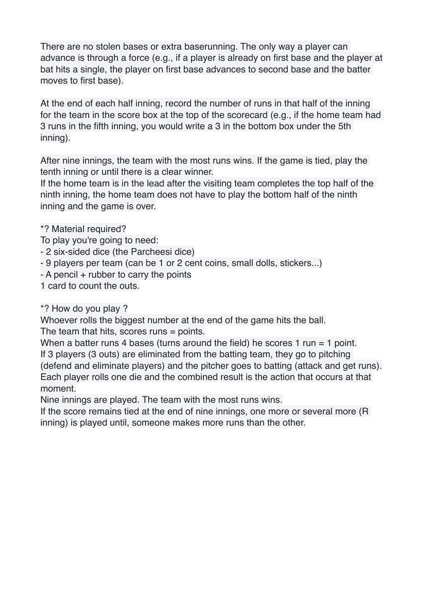There are no stolen bases or extra baserunning. The only way a player can advance is through a force (e.g., if a player is already on first base and the player at bat hits a single, the player on first base advances to second base and the batter moves to first base).

At the end of each half inning, record the number of runs in that half of the inning for the team in the score box at the top of the scorecard (e.g., if the home team had 3 runs in the fifth inning, you would write a 3 in the bottom box under the 5th inning).

After nine innings, the team with the most runs wins. If the game is tied, play the tenth inning or until there is a clear winner.

If the home team is in the lead after the visiting team completes the top half of the ninth inning, the home team does not have to play the bottom half of the ninth inning and the game is over.

- \*? Material required?
- To play you're going to need:
- 2 six-sided dice (the Parcheesi dice)
- 9 players per team (can be 1 or 2 cent coins, small dolls, stickers...)
- A pencil + rubber to carry the points
- 1 card to count the outs.
- \*? How do you play ?

Whoever rolls the biggest number at the end of the game hits the ball. The team that hits, scores runs = points.

When a batter runs 4 bases (turns around the field) he scores 1 run  $=$  1 point. If 3 players (3 outs) are eliminated from the batting team, they go to pitching (defend and eliminate players) and the pitcher goes to batting (attack and get runs). Each player rolls one die and the combined result is the action that occurs at that moment.

Nine innings are played. The team with the most runs wins.

If the score remains tied at the end of nine innings, one more or several more (R inning) is played until, someone makes more runs than the other.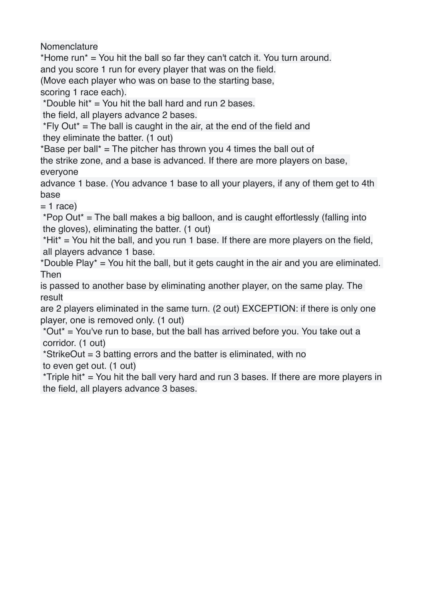Nomenclature

\*Home run\* = You hit the ball so far they can't catch it. You turn around. and you score 1 run for every player that was on the field. (Move each player who was on base to the starting base,

scoring 1 race each).

\*Double hit\*  $=$  You hit the ball hard and run 2 bases.

the field, all players advance 2 bases.

 $*Fly Out* = The ball is caught in the air, at the end of the field and$ they eliminate the batter. (1 out)

\*Base per ball\*  $=$  The pitcher has thrown you 4 times the ball out of

the strike zone, and a base is advanced. If there are more players on base, everyone

advance 1 base. (You advance 1 base to all your players, if any of them get to 4th base

 $= 1$  race)

 \*Pop Out\* = The ball makes a big balloon, and is caught effortlessly (falling into the gloves), eliminating the batter. (1 out)

 $*$ Hit $*$  = You hit the ball, and you run 1 base. If there are more players on the field, all players advance 1 base.

\*Double Play\* = You hit the ball, but it gets caught in the air and you are eliminated. Then

is passed to another base by eliminating another player, on the same play. The result

are 2 players eliminated in the same turn. (2 out) EXCEPTION: if there is only one player, one is removed only. (1 out)

 \*Out\* = You've run to base, but the ball has arrived before you. You take out a corridor. (1 out)

 \*StrikeOut = 3 batting errors and the batter is eliminated, with no to even get out. (1 out)

\*Triple hit\* = You hit the ball very hard and run 3 bases. If there are more players in the field, all players advance 3 bases.